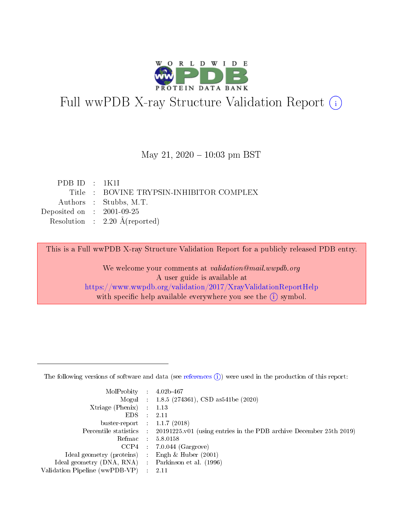

# Full wwPDB X-ray Structure Validation Report (i)

#### May 21,  $2020 - 10:03$  pm BST

| PDBID : 1K1I                |                                          |
|-----------------------------|------------------------------------------|
|                             | Title : BOVINE TRYPSIN-INHIBITOR COMPLEX |
|                             | Authors : Stubbs, M.T.                   |
| Deposited on : $2001-09-25$ |                                          |
|                             | Resolution : $2.20 \text{ Å}$ (reported) |
|                             |                                          |

This is a Full wwPDB X-ray Structure Validation Report for a publicly released PDB entry.

We welcome your comments at validation@mail.wwpdb.org A user guide is available at <https://www.wwpdb.org/validation/2017/XrayValidationReportHelp> with specific help available everywhere you see the  $(i)$  symbol.

The following versions of software and data (see [references](https://www.wwpdb.org/validation/2017/XrayValidationReportHelp#references)  $(1)$ ) were used in the production of this report:

| MolProbity :                   |               | $4.02b - 467$                                                               |
|--------------------------------|---------------|-----------------------------------------------------------------------------|
|                                |               | Mogul : $1.8.5$ (274361), CSD as 541be (2020)                               |
| $X$ triage (Phenix) :          |               | 1.13                                                                        |
| EDS.                           |               | 2.11                                                                        |
| buster-report : $1.1.7$ (2018) |               |                                                                             |
| Percentile statistics :        |               | $20191225 \text{v}01$ (using entries in the PDB archive December 25th 2019) |
| Refmac :                       |               | 5.8.0158                                                                    |
| $CCP4$ :                       |               | $7.0.044$ (Gargrove)                                                        |
| Ideal geometry (proteins) :    |               | Engh $\&$ Huber (2001)                                                      |
| Ideal geometry (DNA, RNA) :    |               | Parkinson et al. (1996)                                                     |
| Validation Pipeline (wwPDB-VP) | $\mathcal{L}$ | 2.11                                                                        |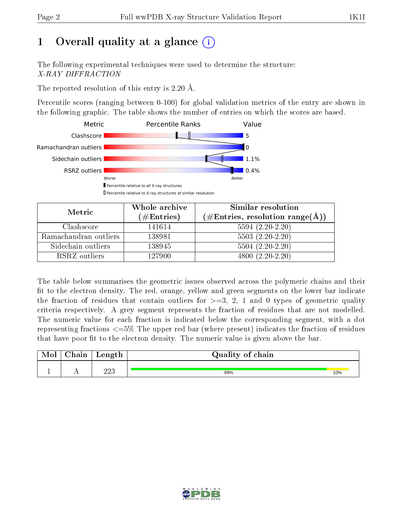# 1 [O](https://www.wwpdb.org/validation/2017/XrayValidationReportHelp#overall_quality)verall quality at a glance  $(i)$

The following experimental techniques were used to determine the structure: X-RAY DIFFRACTION

The reported resolution of this entry is 2.20 Å.

Percentile scores (ranging between 0-100) for global validation metrics of the entry are shown in the following graphic. The table shows the number of entries on which the scores are based.



| Metric                | Whole archive<br>$(\#\text{Entries})$ | Similar resolution<br>$(\#\text{Entries}, \text{resolution range}(\AA))$ |
|-----------------------|---------------------------------------|--------------------------------------------------------------------------|
| Clashscore            | 141614                                | $5594(2.20-2.20)$                                                        |
| Ramachandran outliers | 138981                                | $5503(2.20-2.20)$                                                        |
| Sidechain outliers    | 138945                                | $5504 (2.20-2.20)$                                                       |
| RSRZ outliers         | 127900                                | $4800(2.20-2.20)$                                                        |

The table below summarises the geometric issues observed across the polymeric chains and their fit to the electron density. The red, orange, yellow and green segments on the lower bar indicate the fraction of residues that contain outliers for  $\geq=3$ , 2, 1 and 0 types of geometric quality criteria respectively. A grey segment represents the fraction of residues that are not modelled. The numeric value for each fraction is indicated below the corresponding segment, with a dot representing fractions  $\epsilon = 5\%$  The upper red bar (where present) indicates the fraction of residues that have poor fit to the electron density. The numeric value is given above the bar.

| $\alpha$ hain | Length     | Quality of chain |     |
|---------------|------------|------------------|-----|
|               | ററാ<br>⊿⊿∪ | 89%              | 10% |

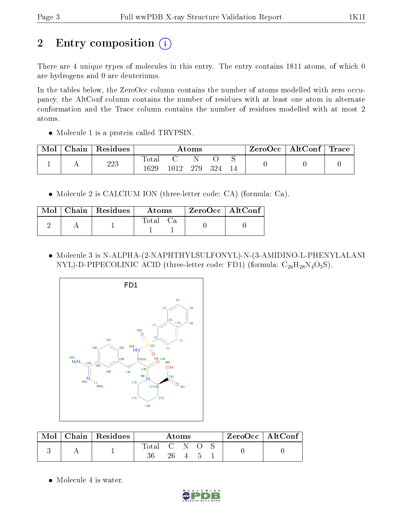# 2 Entry composition (i)

There are 4 unique types of molecules in this entry. The entry contains 1811 atoms, of which 0 are hydrogens and 0 are deuteriums.

In the tables below, the ZeroOcc column contains the number of atoms modelled with zero occupancy, the AltConf column contains the number of residues with at least one atom in alternate conformation and the Trace column contains the number of residues modelled with at most 2 atoms.

• Molecule 1 is a protein called TRYPSIN.

| Mol | Chain   Residues | $\rm{Atoms}$  |      |     |      |  | $\text{ZeroOcc} \mid \text{AltConf} \mid \text{Trace}$ |  |
|-----|------------------|---------------|------|-----|------|--|--------------------------------------------------------|--|
|     | 223              | Total<br>1629 | 1012 | 279 | -324 |  |                                                        |  |

Molecule 2 is CALCIUM ION (three-letter code: CA) (formula: Ca).

|  | $\text{Mol}$   Chain   Residues | Atoms    |  | $\mid$ ZeroOcc $\mid$ AltConf |  |
|--|---------------------------------|----------|--|-------------------------------|--|
|  |                                 | Total Ca |  |                               |  |

 Molecule 3 is N-ALPHA-(2-NAPHTHYLSULFONYL)-N-(3-AMIDINO-L-PHENYLALANI NYL)-D-PIPECOLINIC ACID (three-letter code: FD1) (formula:  $C_{26}H_{28}N_4O_5S$ ).



| Mol | Chain   Residues $\frac{1}{2}$ | Atoms |              |  | $\rm ZeroOcc \mid AltConf \mid$ |  |
|-----|--------------------------------|-------|--------------|--|---------------------------------|--|
|     |                                | Total | <b>ALL N</b> |  |                                 |  |
|     |                                |       | 26           |  |                                 |  |

• Molecule 4 is water.

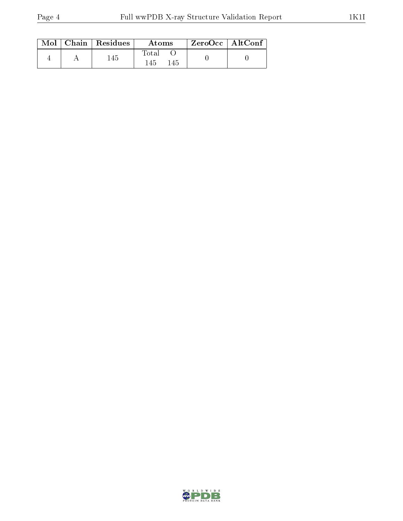|  | $\text{Mol}$   Chain   Residues | Atoms        | ZeroOcc   AltConf |  |
|--|---------------------------------|--------------|-------------------|--|
|  | 145                             | Total<br>145 |                   |  |

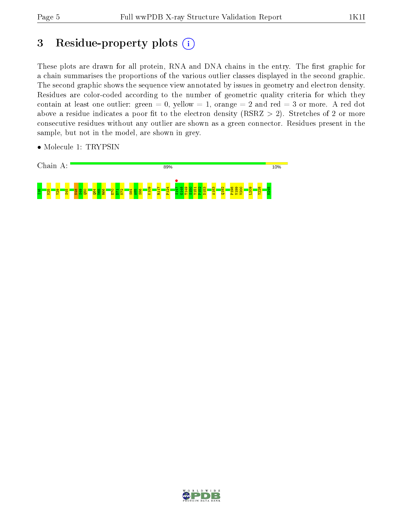# 3 Residue-property plots  $(i)$

These plots are drawn for all protein, RNA and DNA chains in the entry. The first graphic for a chain summarises the proportions of the various outlier classes displayed in the second graphic. The second graphic shows the sequence view annotated by issues in geometry and electron density. Residues are color-coded according to the number of geometric quality criteria for which they contain at least one outlier: green  $= 0$ , yellow  $= 1$ , orange  $= 2$  and red  $= 3$  or more. A red dot above a residue indicates a poor fit to the electron density (RSRZ  $> 2$ ). Stretches of 2 or more consecutive residues without any outlier are shown as a green connector. Residues present in the sample, but not in the model, are shown in grey.





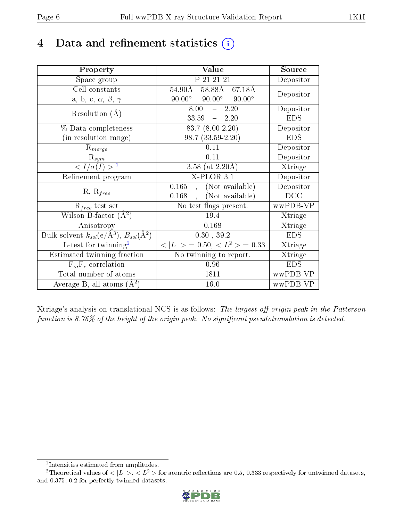# 4 Data and refinement statistics  $(i)$

| Property                                                         | Value                                            | Source     |
|------------------------------------------------------------------|--------------------------------------------------|------------|
| Space group                                                      | P 21 21 21                                       | Depositor  |
| Cell constants                                                   | $58.88\text{\AA}$<br>$54.90\text{\AA}$<br>67.18Å | Depositor  |
| a, b, c, $\alpha$ , $\beta$ , $\gamma$                           | $90.00^\circ$<br>$90.00^\circ$<br>$90.00^\circ$  |            |
| Resolution $(A)$                                                 | 2.20<br>8.00<br>$\frac{1}{2}$                    | Depositor  |
|                                                                  | 33.59<br>$-2.20$                                 | <b>EDS</b> |
| % Data completeness                                              | $\overline{83.7}$ $(8.00-2.20)$                  | Depositor  |
| (in resolution range)                                            | $98.7(33.59-2.20)$                               | <b>EDS</b> |
| $R_{merge}$                                                      | 0.11                                             | Depositor  |
| $\mathrm{R}_{sym}$                                               | 0.11                                             | Depositor  |
| $\langle I/\sigma(I) \rangle^{-1}$                               | 3.58 (at $2.20\text{\AA}$ )                      | Xtriage    |
| Refinement program                                               | X-PLOR 3.1                                       | Depositor  |
| $R, R_{free}$                                                    | (Not available)<br>0.165<br>$\mathcal{L}$        | Depositor  |
|                                                                  | (Not available)<br>0.168                         | DCC        |
| $R_{free}$ test set                                              | $\overline{\text{No}}$ test flags present.       | wwPDB-VP   |
| Wilson B-factor $(A^2)$                                          | 19.4                                             | Xtriage    |
| Anisotropy                                                       | 0.168                                            | Xtriage    |
| Bulk solvent $k_{sol}(\text{e}/\text{A}^3), B_{sol}(\text{A}^2)$ | 0.30, 39.2                                       | <b>EDS</b> |
| $L$ -test for twinning <sup>2</sup>                              | $< L >$ = 0.50, $< L2$ > = 0.33                  | Xtriage    |
| Estimated twinning fraction                                      | $\overline{\text{No}}$ twinning to report.       | Xtriage    |
| $F_o, F_c$ correlation                                           | 0.96                                             | <b>EDS</b> |
| Total number of atoms                                            | 1811                                             | wwPDB-VP   |
| Average B, all atoms $(A^2)$                                     | 16.0                                             | wwPDB-VP   |

Xtriage's analysis on translational NCS is as follows: The largest off-origin peak in the Patterson function is 8.76% of the height of the origin peak. No significant pseudotranslation is detected.

<sup>&</sup>lt;sup>2</sup>Theoretical values of  $\langle |L| \rangle$ ,  $\langle L^2 \rangle$  for acentric reflections are 0.5, 0.333 respectively for untwinned datasets, and 0.375, 0.2 for perfectly twinned datasets.



<span id="page-5-1"></span><span id="page-5-0"></span><sup>1</sup> Intensities estimated from amplitudes.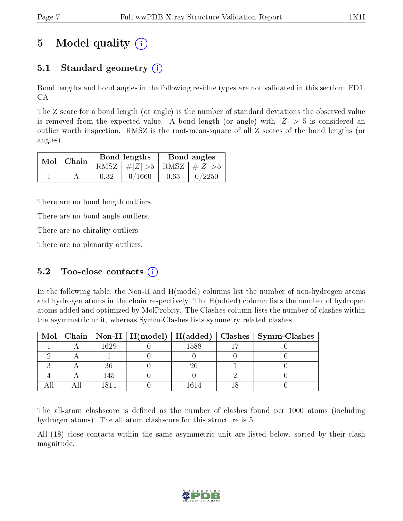# 5 Model quality  $(i)$

### 5.1 Standard geometry  $(i)$

Bond lengths and bond angles in the following residue types are not validated in this section: FD1, CA

The Z score for a bond length (or angle) is the number of standard deviations the observed value is removed from the expected value. A bond length (or angle) with  $|Z| > 5$  is considered an outlier worth inspection. RMSZ is the root-mean-square of all Z scores of the bond lengths (or angles).

|  | $Mol$   Chain |      | Bond lengths                    | Bond angles |        |  |
|--|---------------|------|---------------------------------|-------------|--------|--|
|  |               |      | RMSZ $ #Z  > 5$ RMSZ $ #Z  > 5$ |             |        |  |
|  |               | 0.32 | 0/1660                          | 0.63        | 0/2250 |  |

There are no bond length outliers.

There are no bond angle outliers.

There are no chirality outliers.

There are no planarity outliers.

### 5.2 Too-close contacts  $(i)$

In the following table, the Non-H and H(model) columns list the number of non-hydrogen atoms and hydrogen atoms in the chain respectively. The H(added) column lists the number of hydrogen atoms added and optimized by MolProbity. The Clashes column lists the number of clashes within the asymmetric unit, whereas Symm-Clashes lists symmetry related clashes.

|  |      |      | Mol   Chain   Non-H   H(model)   H(added)   Clashes   Symm-Clashes |
|--|------|------|--------------------------------------------------------------------|
|  | 1629 | 1588 |                                                                    |
|  |      |      |                                                                    |
|  |      |      |                                                                    |
|  | 145  |      |                                                                    |
|  |      | 614  |                                                                    |

The all-atom clashscore is defined as the number of clashes found per 1000 atoms (including hydrogen atoms). The all-atom clashscore for this structure is 5.

All (18) close contacts within the same asymmetric unit are listed below, sorted by their clash magnitude.

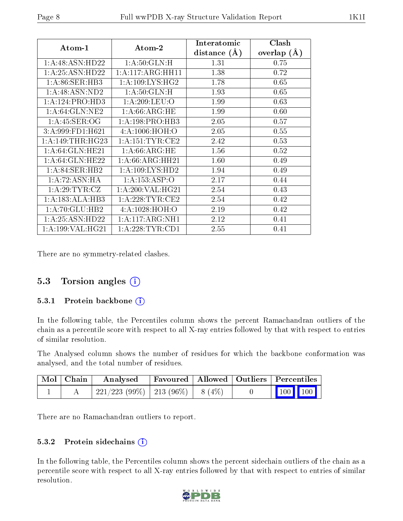| Atom-1               | Atom-2              | Interatomic<br>distance $(A)$ | Clash<br>overlap $(A)$ |
|----------------------|---------------------|-------------------------------|------------------------|
| 1:A:48:ASN:HD22      | 1: A:50: GLN:H      | 1.31                          | 0.75                   |
| 1: A:25: ASN:HD22    | 1: A:117: ARG: HH11 | 1.38                          | 0.72                   |
| 1: A:86: SER:HB3     | 1: A:109: LYS: HG2  | 1.78                          | 0.65                   |
| 1: A:48: ASN:ND2     | 1: A:50: GLN:H      | 1.93                          | 0.65                   |
| 1:A:124:PRO:HD3      | 1:A:209:LEU:O       | 1.99                          | 0.63                   |
| 1: A:64: GLN:NE2     | 1: A:66: ARG: HE    | 1.99                          | 0.60                   |
| 1: A:45: SER:OG      | 1:A:198:PRO:HB3     | 2.05                          | 0.57                   |
| 3:A:999:FD1:H621     | 4: A:1006:HOH:O     | 2.05                          | 0.55                   |
| 1: A:149:THR:HG23    | 1: A: 151: TYR: CE2 | 2.42                          | 0.53                   |
| 1: A:64: GLN: HE21   | 1: A:66:ARG:HE      | 1.56                          | 0.52                   |
| 1: A:64: GLN:HE22    | 1: A:66: ARG: HH21  | 1.60                          | 0.49                   |
| 1: A:84:SER:HB2      | 1:A:109:LYS:HD2     | 1.94                          | 0.49                   |
| 1:A:72:ASN:HA        | 1: A: 153: ASP: O   | 2.17                          | 0.44                   |
| 1: A:29:TYR:CZ       | 1: A:200: VAL:HG21  | 2.54                          | 0.43                   |
| 1:A:183:ALA:HB3      | 1: A:228:TYR:CE2    | 2.54                          | 0.42                   |
| 1: A:70: GLU:HB2     | 4:A:1028:HOH:O      | 2.19                          | 0.42                   |
| 1: A:25: ASN:HD22    | 1:A:117:ARG:NH1     | 2.12                          | 0.41                   |
| 1: A: 199: VAL: HG21 | 1:A:228:TYR:CD1     | 2.55                          | 0.41                   |

There are no symmetry-related clashes.

### 5.3 Torsion angles (i)

#### 5.3.1 Protein backbone  $(i)$

In the following table, the Percentiles column shows the percent Ramachandran outliers of the chain as a percentile score with respect to all X-ray entries followed by that with respect to entries of similar resolution.

The Analysed column shows the number of residues for which the backbone conformation was analysed, and the total number of residues.

| $\mid$ Mol $\mid$ Chain $\mid$ | Analysed                                |  | Favoured   Allowed   Outliers   Percentiles                             |
|--------------------------------|-----------------------------------------|--|-------------------------------------------------------------------------|
|                                | $221/223$ (99\%)   213 (96\%)   8 (4\%) |  | $\begin{array}{ c c c c c }\n\hline\n100 & 100 & \\\hline\n\end{array}$ |

There are no Ramachandran outliers to report.

#### 5.3.2 Protein sidechains  $(i)$

In the following table, the Percentiles column shows the percent sidechain outliers of the chain as a percentile score with respect to all X-ray entries followed by that with respect to entries of similar resolution.

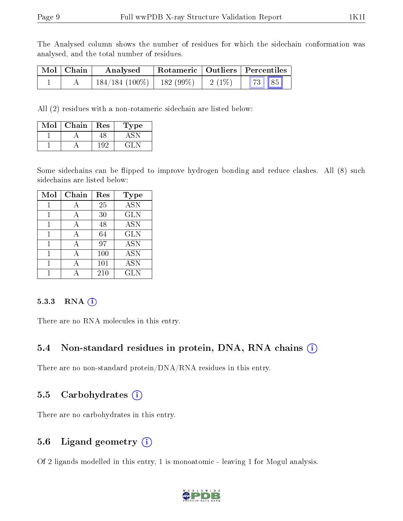The Analysed column shows the number of residues for which the sidechain conformation was analysed, and the total number of residues.

| Mol   Chain | Analysed                       |          | Rotameric   Outliers   Percentiles |
|-------------|--------------------------------|----------|------------------------------------|
|             | $184/184$ (100\%)   182 (99\%) | $2(1\%)$ | 73   85                            |

All (2) residues with a non-rotameric sidechain are listed below:

| [∩] | ${\rm Chain}$ | Res | /pe |
|-----|---------------|-----|-----|
|     |               |     |     |
|     |               |     |     |

Some sidechains can be flipped to improve hydrogen bonding and reduce clashes. All (8) such sidechains are listed below:

| Mol | Chain | Res | <b>Type</b> |
|-----|-------|-----|-------------|
| 1   | А     | 25  | <b>ASN</b>  |
| 1   | А     | 30  | <b>GLN</b>  |
| 1   | А     | 48  | <b>ASN</b>  |
|     | А     | 64  | <b>GLN</b>  |
| 1   | А     | 97  | <b>ASN</b>  |
|     | А     | 100 | <b>ASN</b>  |
|     |       | 101 | <b>ASN</b>  |
|     |       | 210 | <b>GLN</b>  |

#### 5.3.3 RNA (i)

There are no RNA molecules in this entry.

#### 5.4 Non-standard residues in protein, DNA, RNA chains  $(i)$

There are no non-standard protein/DNA/RNA residues in this entry.

#### 5.5 Carbohydrates  $(i)$

There are no carbohydrates in this entry.

### 5.6 Ligand geometry  $(i)$

Of 2 ligands modelled in this entry, 1 is monoatomic - leaving 1 for Mogul analysis.

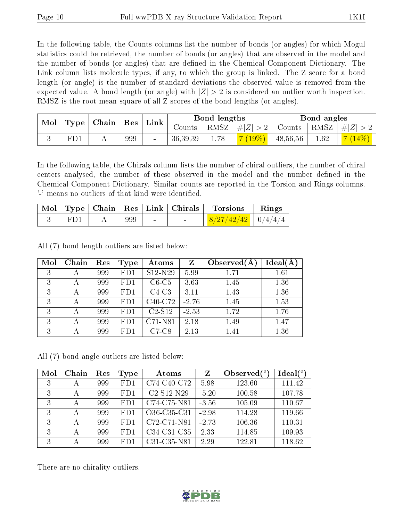In the following table, the Counts columns list the number of bonds (or angles) for which Mogul statistics could be retrieved, the number of bonds (or angles) that are observed in the model and the number of bonds (or angles) that are dened in the Chemical Component Dictionary. The Link column lists molecule types, if any, to which the group is linked. The Z score for a bond length (or angle) is the number of standard deviations the observed value is removed from the expected value. A bond length (or angle) with  $|Z| > 2$  is considered an outlier worth inspection. RMSZ is the root-mean-square of all Z scores of the bond lengths (or angles).

| Mol | Type <sub>1</sub> | $\mid$ Chain $\mid$ | ${\rm Res}$ | Link |          | Bond lengths |             |          | Bond angles        |         |
|-----|-------------------|---------------------|-------------|------|----------|--------------|-------------|----------|--------------------|---------|
|     |                   |                     |             |      | Counts   | RMSZ         | $\# Z  > 2$ | Counts   | $\mid$ RMSZ $\mid$ | $\ H\ $ |
|     | FD.               |                     | 999         |      | 36,39,39 | 1.78         | $19\%$      | 48,56,56 | 1.62               |         |

In the following table, the Chirals column lists the number of chiral outliers, the number of chiral centers analysed, the number of these observed in the model and the number defined in the Chemical Component Dictionary. Similar counts are reported in the Torsion and Rings columns. '-' means no outliers of that kind were identified.

|     |     | Mol   Type   Chain   Res   Link   Chirals | Torsions               | Rings |
|-----|-----|-------------------------------------------|------------------------|-------|
| FD1 | 999 |                                           | $8/27/42/42$   0/4/4/4 |       |

All (7) bond length outliers are listed below:

| Mol | Chain | Res | Type | Atoms                            | $Z_{\rm}$ | Observed $(A)$ | Ideal(A) |
|-----|-------|-----|------|----------------------------------|-----------|----------------|----------|
| 3   | А     | 999 | FD1  | S <sub>12</sub> -N <sub>29</sub> | 5.99      | 1.71           | 1.61     |
| 3   | А     | 999 | FD1  | $C6-C5$                          | 3.63      | 1.45           | 1.36     |
| 3   | А     | 999 | FD1  | $C4-C3$                          | 3.11      | 1.43           | 1.36     |
| 3   | А     | 999 | FD1  | C40-C72                          | $-2.76$   | 1.45           | 1.53     |
| 3   |       | 999 | FD1  | $C2-S12$                         | $-2.53$   | 1.72           | 1.76     |
| 3   | А     | 999 | FD1  | C71-N81                          | 2.18      | 1.49           | 1.47     |
| 3   |       | 999 | FD1  | $C7-C8$                          | 2.13      | 1.41           | 1.36     |

All (7) bond angle outliers are listed below:

| Mol | Chain | Res | Type | Atoms        | Z       | Observed $(°)$ | $\text{Ideal}({}^o)$ |
|-----|-------|-----|------|--------------|---------|----------------|----------------------|
| 3   | А     | 999 | FD1  | C74-C40-C72  | 5.98    | 123.60         | 111.42               |
| 3   | А     | 999 | FD1  | $C2-S12-N29$ | $-5.20$ | 100.58         | 107.78               |
| 3   | А     | 999 | FD1  | C74-C75-N81  | $-3.56$ | 105.09         | 110.67               |
| 3   | А     | 999 | FD1  | O36-C35-C31  | $-2.98$ | 114.28         | 119.66               |
| 3   | А     | 999 | FD1  | C72-C71-N81  | $-2.73$ | 106.36         | 110.31               |
| 3   |       | 999 | FD1  | C34-C31-C35  | 2.33    | 114.85         | 109.93               |
| 3   |       | 999 | FD1  | C31-C35-N81  | 2.29    | 122.81         | 118.62               |

There are no chirality outliers.

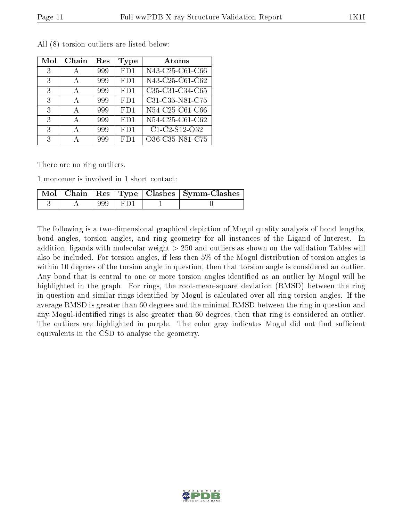| Mol | Chain | Res | Type | Atoms           |
|-----|-------|-----|------|-----------------|
| 3   | А     | 999 | FD1  | N43-C25-C61-C66 |
| 3   | А     | 999 | FD1  | N43-C25-C61-C62 |
| 3   | А     | 999 | FD1  | C35-C31-C34-C65 |
| 3   | А     | 999 | FD1  | C31-C35-N81-C75 |
| 3   | А     | 999 | FD1  | N54-C25-C61-C66 |
| 3   | А     | 999 | FD1  | N54-C25-C61-C62 |
| 3   | А     | 999 | FD1  | C1-C2-S12-O32   |
| 3   |       | 999 | FD1  | O36-C35-N81-C75 |

All (8) torsion outliers are listed below:

There are no ring outliers.

1 monomer is involved in 1 short contact:

|  |     |       | $\boxed{\text{Mol} \mid \text{Chain} \mid \text{Res} \mid \text{Type} \mid \text{Classes} \mid \text{Symm-Class}}$ |
|--|-----|-------|--------------------------------------------------------------------------------------------------------------------|
|  | 999 | 1 FDI |                                                                                                                    |

The following is a two-dimensional graphical depiction of Mogul quality analysis of bond lengths, bond angles, torsion angles, and ring geometry for all instances of the Ligand of Interest. In addition, ligands with molecular weight > 250 and outliers as shown on the validation Tables will also be included. For torsion angles, if less then 5% of the Mogul distribution of torsion angles is within 10 degrees of the torsion angle in question, then that torsion angle is considered an outlier. Any bond that is central to one or more torsion angles identified as an outlier by Mogul will be highlighted in the graph. For rings, the root-mean-square deviation (RMSD) between the ring in question and similar rings identified by Mogul is calculated over all ring torsion angles. If the average RMSD is greater than 60 degrees and the minimal RMSD between the ring in question and any Mogul-identied rings is also greater than 60 degrees, then that ring is considered an outlier. The outliers are highlighted in purple. The color gray indicates Mogul did not find sufficient equivalents in the CSD to analyse the geometry.

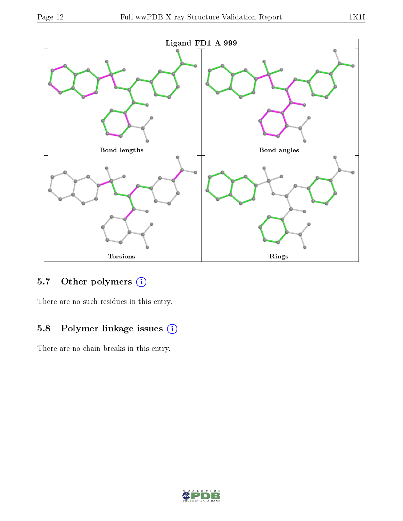

### 5.7 [O](https://www.wwpdb.org/validation/2017/XrayValidationReportHelp#nonstandard_residues_and_ligands)ther polymers (i)

There are no such residues in this entry.

# 5.8 Polymer linkage issues (i)

There are no chain breaks in this entry.

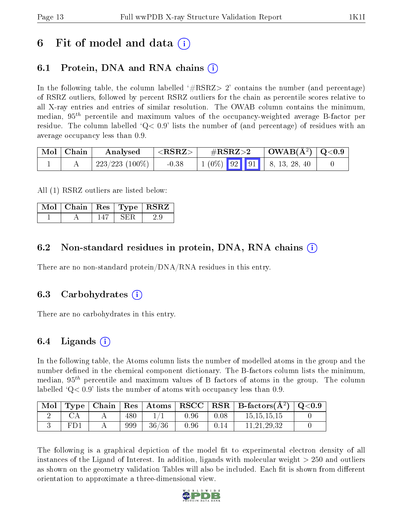# 6 Fit of model and data  $\left( \cdot \right)$

### 6.1 Protein, DNA and RNA chains (i)

In the following table, the column labelled  $#RSRZ> 2'$  contains the number (and percentage) of RSRZ outliers, followed by percent RSRZ outliers for the chain as percentile scores relative to all X-ray entries and entries of similar resolution. The OWAB column contains the minimum, median,  $95<sup>th</sup>$  percentile and maximum values of the occupancy-weighted average B-factor per residue. The column labelled  $Q < 0.9$  lists the number of (and percentage) of residues with an average occupancy less than 0.9.

| $\mid$ Mol $\mid$ Chain | Analysed            | ${ <\hspace{-1.5pt}{\mathrm{RSRZ}} \hspace{-1.5pt}>}$ | $\#\text{RSRZ}\text{>2}$                                                                             | $\mid$ OWAB(Å <sup>2</sup> ) $\mid$ Q<0.9 |  |
|-------------------------|---------------------|-------------------------------------------------------|------------------------------------------------------------------------------------------------------|-------------------------------------------|--|
|                         | $^+$ 223/223 (100%) | $-0.38$                                               | $\begin{array}{ c c c c c c c c c } \hline 1 & (0\%) & 92 & 91 & 8, 13, 28, 40 \\\hline \end{array}$ |                                           |  |

All (1) RSRZ outliers are listed below:

|  |  | $\mid$ Mol $\mid$ Chain $\mid$ Res $\mid$ Type $\mid$ RSRZ $\mid$ |
|--|--|-------------------------------------------------------------------|
|  |  |                                                                   |

### 6.2 Non-standard residues in protein, DNA, RNA chains (i)

There are no non-standard protein/DNA/RNA residues in this entry.

### 6.3 Carbohydrates (i)

There are no carbohydrates in this entry.

### 6.4 Ligands  $(i)$

In the following table, the Atoms column lists the number of modelled atoms in the group and the number defined in the chemical component dictionary. The B-factors column lists the minimum, median,  $95<sup>th</sup>$  percentile and maximum values of B factors of atoms in the group. The column labelled  $Q< 0.9$  lists the number of atoms with occupancy less than 0.9.

| Mol | Type | Chain |     | $\mid$ Res $\mid$ Atoms $\mid$ RSCC $\mid$ |      | $\mid$ RSR $\mid$ | $\mid$ B-factors( $\rm \AA^2)$ ) | $\mid$ Q<0.9 |
|-----|------|-------|-----|--------------------------------------------|------|-------------------|----------------------------------|--------------|
|     |      |       | 480 |                                            | 0.96 | 0.08              | 15, 15, 15, 15                   |              |
|     | FD1  |       | 999 | 36/36                                      | 0.96 | 0.14              | 11,21,29,32                      |              |

The following is a graphical depiction of the model fit to experimental electron density of all instances of the Ligand of Interest. In addition, ligands with molecular weight  $> 250$  and outliers as shown on the geometry validation Tables will also be included. Each fit is shown from different orientation to approximate a three-dimensional view.